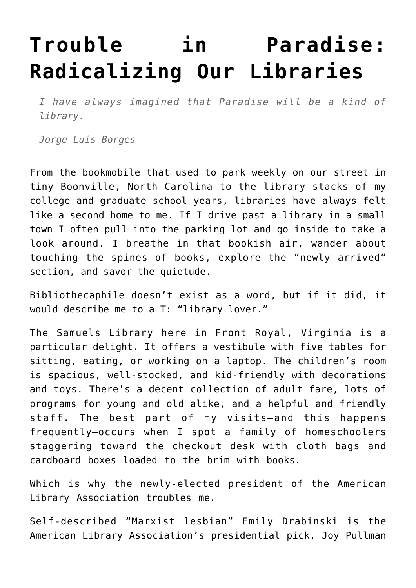## **[Trouble in Paradise:](https://intellectualtakeout.org/2022/04/trouble-in-paradise-radicalizing-our-libraries/) [Radicalizing Our Libraries](https://intellectualtakeout.org/2022/04/trouble-in-paradise-radicalizing-our-libraries/)**

*I have always imagined that Paradise will be a kind of library.*

*Jorge Luis Borges*

From the bookmobile that used to park weekly on our street in tiny Boonville, North Carolina to the library stacks of my college and graduate school years, libraries have always felt like a second home to me. If I drive past a library in a small town I often pull into the parking lot and go inside to take a look around. I breathe in that bookish air, wander about touching the spines of books, explore the "newly arrived" section, and savor the quietude.

Bibliothecaphile doesn't exist as a word, but if it did, it would describe me to a T: "library lover."

The Samuels Library here in Front Royal, Virginia is a particular delight. It offers a vestibule with five tables for sitting, eating, or working on a laptop. The children's room is spacious, well-stocked, and kid-friendly with decorations and toys. There's a decent collection of adult fare, lots of programs for young and old alike, and a helpful and friendly staff. The best part of my visits—and this happens frequently—occurs when I spot a family of homeschoolers staggering toward the checkout desk with cloth bags and cardboard boxes loaded to the brim with books.

Which is why the newly-elected president of the American Library Association troubles me.

Self-described "Marxist lesbian" Emily Drabinski is the American Library Association's presidential pick, Joy Pullman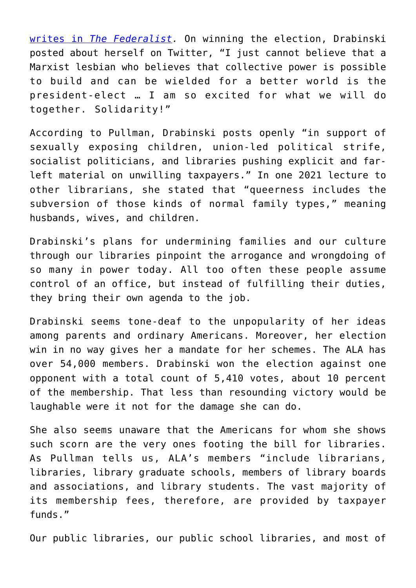[writes in](https://thefederalist.com/2022/04/22/amid-public-concern-about-grooming-kids-american-library-association-picks-marxist-lesbian-as-president/) *[The Federalist.](https://thefederalist.com/2022/04/22/amid-public-concern-about-grooming-kids-american-library-association-picks-marxist-lesbian-as-president/)* On winning the election, Drabinski posted about herself on Twitter, "I just cannot believe that a Marxist lesbian who believes that collective power is possible to build and can be wielded for a better world is the president-elect … I am so excited for what we will do together. Solidarity!"

According to Pullman, Drabinski posts openly "in support of sexually exposing children, union-led political strife, socialist politicians, and libraries pushing explicit and farleft material on unwilling taxpayers." In one 2021 lecture to other librarians, she stated that "queerness includes the subversion of those kinds of normal family types," meaning husbands, wives, and children.

Drabinski's plans for undermining families and our culture through our libraries pinpoint the arrogance and wrongdoing of so many in power today. All too often these people assume control of an office, but instead of fulfilling their duties, they bring their own agenda to the job.

Drabinski seems tone-deaf to the unpopularity of her ideas among parents and ordinary Americans. Moreover, her election win in no way gives her a mandate for her schemes. The ALA has over 54,000 members. Drabinski won the election against one opponent with a total count of 5,410 votes, about 10 percent of the membership. That less than resounding victory would be laughable were it not for the damage she can do.

She also seems unaware that the Americans for whom she shows such scorn are the very ones footing the bill for libraries. As Pullman tells us, ALA's members "include librarians, libraries, library graduate schools, members of library boards and associations, and library students. The vast majority of its membership fees, therefore, are provided by taxpayer funds."

Our public libraries, our public school libraries, and most of